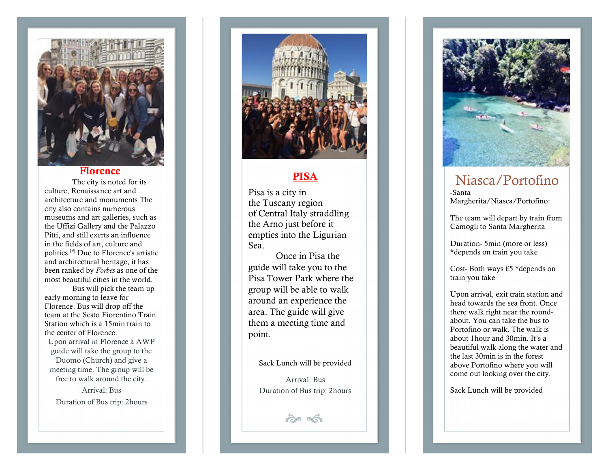

#### Florence

The city is noted for its culture, Renaissance art and architecture and monuments The city also contains numerous museums and art galleries, such as the Uffizi Gallery and the Palazzo Pitti, and still exerts an influence in the fields of art, culture and politics.[9] Due to Florence's artistic and architectural heritage, it has been ranked by *Forbes* as one of the most beautiful cities in the world.

Bus will pick the team up early morning to leave for Florence. Bus will drop off the team at the Sesto Fiorentino Train Station which is a 15min train to the center of Florence.

Upon arrival in Florence a AWP guide will take the group to the Duomo (Church) and give a meeting time. The group will be free to walk around the city.

Arrival: Bus Duration of Bus trip: 2hours



## PISA

Pisa is a city in the Tuscany region of Central Italy straddling the Arno just before it empties into the Ligurian Sea .

Once in Pisa the guide will take you to the Pisa Tower Park where the group will be able to walk around an experience the area. The guide will give them a meeting time and point.

Sack Lunch will be provided

Arrival: Bus Duration of Bus trip: 2hours

 $\hat{\sigma}$ 



# Niasca/Portofino

-Santa Margherita/Niasca/Portofino:

The team will depart by train from Camogli to Santa Margherita

Duration - 5min (more or less) \*depends on train you take

Cost - Both ways €5 \*depends on train you take

Upon arrival, exit train station and head towards the sea front. Once there walk right near the round about. You can take the bus to Portofino or walk. The walk is about 1hour and 30min. It's a beautiful walk along the water and the last 30min is in the forest above Portofino where you will come out looking over the city.

Sack Lunch will be provided